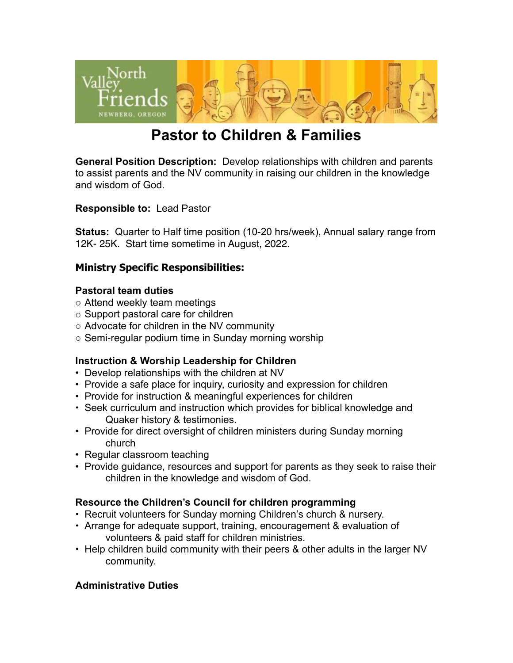

# **Pastor to Children & Families**

**General Position Description:** Develop relationships with children and parents to assist parents and the NV community in raising our children in the knowledge and wisdom of God.

**Responsible to:** Lead Pastor

**Status:** Quarter to Half time position (10-20 hrs/week), Annual salary range from 12K- 25K. Start time sometime in August, 2022.

## **Ministry Specific Responsibilities:**

#### **Pastoral team duties**

- Attend weekly team meetings
- Support pastoral care for children
- Advocate for children in the NV community
- Semi-regular podium time in Sunday morning worship

#### **Instruction & Worship Leadership for Children**

- Develop relationships with the children at NV
- Provide a safe place for inquiry, curiosity and expression for children
- Provide for instruction & meaningful experiences for children
- Seek curriculum and instruction which provides for biblical knowledge and Quaker history & testimonies.
- Provide for direct oversight of children ministers during Sunday morning church
- Regular classroom teaching
- Provide guidance, resources and support for parents as they seek to raise their children in the knowledge and wisdom of God.

#### **Resource the Children's Council for children programming**

- Recruit volunteers for Sunday morning Children's church & nursery.
- Arrange for adequate support, training, encouragement & evaluation of volunteers & paid staff for children ministries.
- Help children build community with their peers & other adults in the larger NV community.

#### **Administrative Duties**